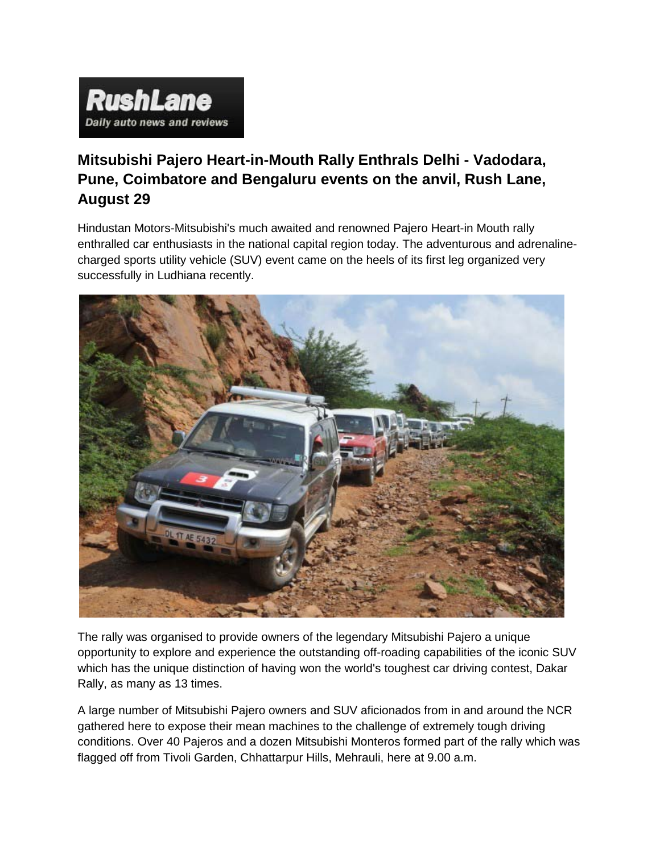

## **Mitsubishi Pajero Heart-in-Mouth Rally Enthrals Delhi - Vadodara, Pune, Coimbatore and Bengaluru events on the anvil, Rush Lane, August 29**

Hindustan Motors-Mitsubishi's much awaited and renowned Pajero Heart-in Mouth rally enthralled car enthusiasts in the national capital region today. The adventurous and adrenalinecharged sports utility vehicle (SUV) event came on the heels of its first leg organized very successfully in Ludhiana recently.



The rally was organised to provide owners of the legendary Mitsubishi Pajero a unique opportunity to explore and experience the outstanding off-roading capabilities of the iconic SUV which has the unique distinction of having won the world's toughest car driving contest, Dakar Rally, as many as 13 times.

A large number of Mitsubishi Pajero owners and SUV aficionados from in and around the NCR gathered here to expose their mean machines to the challenge of extremely tough driving conditions. Over 40 Pajeros and a dozen Mitsubishi Monteros formed part of the rally which was flagged off from Tivoli Garden, Chhattarpur Hills, Mehrauli, here at 9.00 a.m.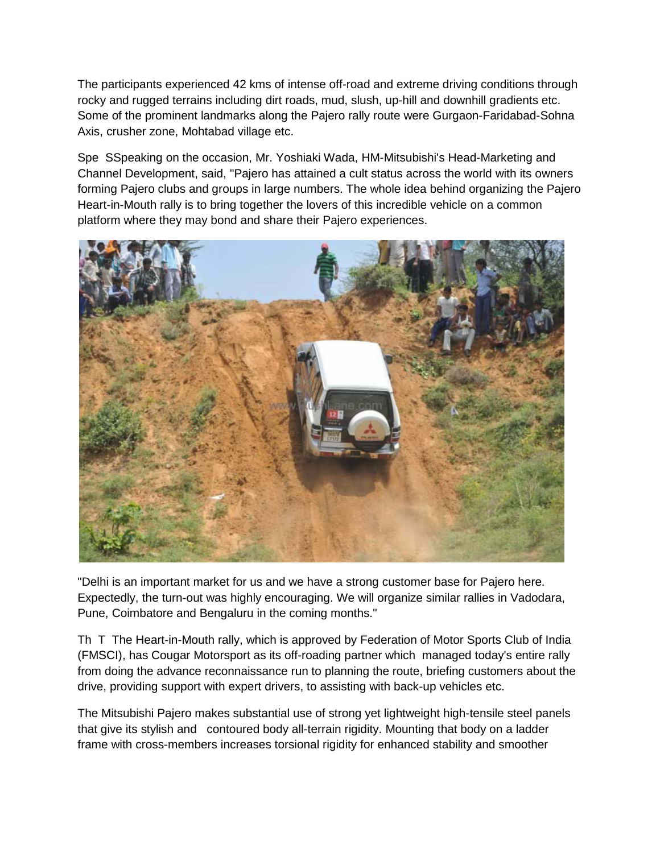The participants experienced 42 kms of intense off-road and extreme driving conditions through rocky and rugged terrains including dirt roads, mud, slush, up-hill and downhill gradients etc. Some of the prominent landmarks along the Pajero rally route were Gurgaon-Faridabad-Sohna Axis, crusher zone, Mohtabad village etc.

Spe SSpeaking on the occasion, Mr. Yoshiaki Wada, HM-Mitsubishi's Head-Marketing and Channel Development, said, "Pajero has attained a cult status across the world with its owners forming Pajero clubs and groups in large numbers. The whole idea behind organizing the Pajero Heart-in-Mouth rally is to bring together the lovers of this incredible vehicle on a common platform where they may bond and share their Pajero experiences.



"Delhi is an important market for us and we have a strong customer base for Pajero here. Expectedly, the turn-out was highly encouraging. We will organize similar rallies in Vadodara, Pune, Coimbatore and Bengaluru in the coming months."

Th T The Heart-in-Mouth rally, which is approved by Federation of Motor Sports Club of India (FMSCI), has Cougar Motorsport as its off-roading partner which managed today's entire rally from doing the advance reconnaissance run to planning the route, briefing customers about the drive, providing support with expert drivers, to assisting with back-up vehicles etc.

The Mitsubishi Pajero makes substantial use of strong yet lightweight high-tensile steel panels that give its stylish and contoured body all-terrain rigidity. Mounting that body on a ladder frame with cross-members increases torsional rigidity for enhanced stability and smoother